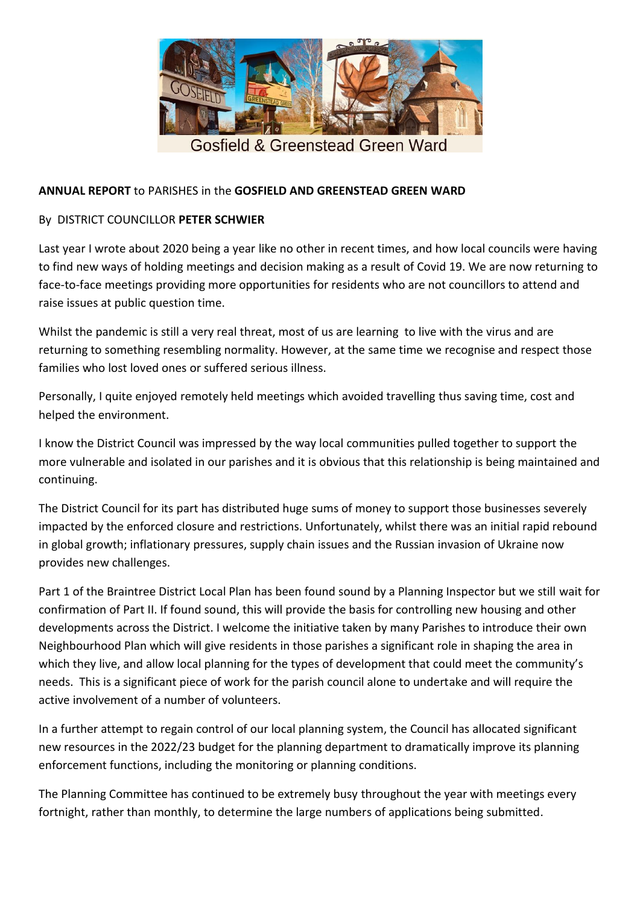

## **ANNUAL REPORT** to PARISHES in the **GOSFIELD AND GREENSTEAD GREEN WARD**

## By DISTRICT COUNCILLOR **PETER SCHWIER**

Last year I wrote about 2020 being a year like no other in recent times, and how local councils were having to find new ways of holding meetings and decision making as a result of Covid 19. We are now returning to face-to-face meetings providing more opportunities for residents who are not councillors to attend and raise issues at public question time.

Whilst the pandemic is still a very real threat, most of us are learning to live with the virus and are returning to something resembling normality. However, at the same time we recognise and respect those families who lost loved ones or suffered serious illness.

Personally, I quite enjoyed remotely held meetings which avoided travelling thus saving time, cost and helped the environment.

I know the District Council was impressed by the way local communities pulled together to support the more vulnerable and isolated in our parishes and it is obvious that this relationship is being maintained and continuing.

The District Council for its part has distributed huge sums of money to support those businesses severely impacted by the enforced closure and restrictions. Unfortunately, whilst there was an initial rapid rebound in global growth; inflationary pressures, supply chain issues and the Russian invasion of Ukraine now provides new challenges.

Part 1 of the Braintree District Local Plan has been found sound by a Planning Inspector but we still wait for confirmation of Part II. If found sound, this will provide the basis for controlling new housing and other developments across the District. I welcome the initiative taken by many Parishes to introduce their own Neighbourhood Plan which will give residents in those parishes a significant role in shaping the area in which they live, and allow local planning for the types of development that could meet the community's needs. This is a significant piece of work for the parish council alone to undertake and will require the active involvement of a number of volunteers.

In a further attempt to regain control of our local planning system, the Council has allocated significant new resources in the 2022/23 budget for the planning department to dramatically improve its planning enforcement functions, including the monitoring or planning conditions.

The Planning Committee has continued to be extremely busy throughout the year with meetings every fortnight, rather than monthly, to determine the large numbers of applications being submitted.